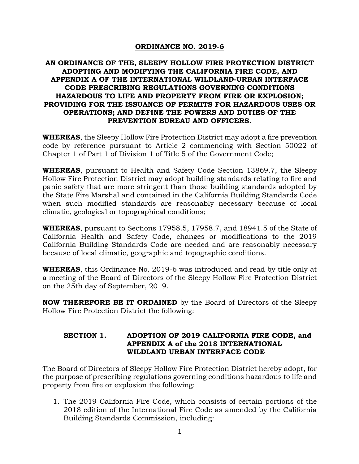# **ORDINANCE NO. 2019-6**

# **AN ORDINANCE OF THE, SLEEPY HOLLOW FIRE PROTECTION DISTRICT ADOPTING AND MODIFYING THE CALIFORNIA FIRE CODE, AND APPENDIX A OF THE INTERNATIONAL WILDLAND-URBAN INTERFACE CODE PRESCRIBING REGULATIONS GOVERNING CONDITIONS HAZARDOUS TO LIFE AND PROPERTY FROM FIRE OR EXPLOSION; PROVIDING FOR THE ISSUANCE OF PERMITS FOR HAZARDOUS USES OR OPERATIONS; AND DEFINE THE POWERS AND DUTIES OF THE PREVENTION BUREAU AND OFFICERS.**

**WHEREAS**, the Sleepy Hollow Fire Protection District may adopt a fire prevention code by reference pursuant to Article 2 commencing with Section 50022 of Chapter 1 of Part 1 of Division 1 of Title 5 of the Government Code;

**WHEREAS**, pursuant to Health and Safety Code Section 13869.7, the Sleepy Hollow Fire Protection District may adopt building standards relating to fire and panic safety that are more stringent than those building standards adopted by the State Fire Marshal and contained in the California Building Standards Code when such modified standards are reasonably necessary because of local climatic, geological or topographical conditions;

**WHEREAS**, pursuant to Sections 17958.5, 17958.7, and 18941.5 of the State of California Health and Safety Code, changes or modifications to the 2019 California Building Standards Code are needed and are reasonably necessary because of local climatic, geographic and topographic conditions.

**WHEREAS**, this Ordinance No. 2019-6 was introduced and read by title only at a meeting of the Board of Directors of the Sleepy Hollow Fire Protection District on the 25th day of September, 2019.

**NOW THEREFORE BE IT ORDAINED** by the Board of Directors of the Sleepy Hollow Fire Protection District the following:

#### **SECTION 1. ADOPTION OF 2019 CALIFORNIA FIRE CODE, and APPENDIX A of the 2018 INTERNATIONAL WILDLAND URBAN INTERFACE CODE**

The Board of Directors of Sleepy Hollow Fire Protection District hereby adopt, for the purpose of prescribing regulations governing conditions hazardous to life and property from fire or explosion the following:

1. The 2019 California Fire Code, which consists of certain portions of the 2018 edition of the International Fire Code as amended by the California Building Standards Commission, including: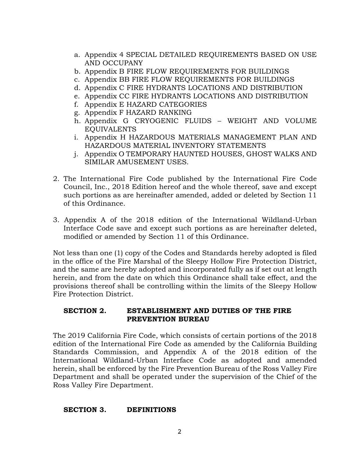- a. Appendix 4 SPECIAL DETAILED REQUIREMENTS BASED ON USE AND OCCUPANY
- b. Appendix B FIRE FLOW REQUIREMENTS FOR BUILDINGS
- c. Appendix BB FIRE FLOW REQUIREMENTS FOR BUILDINGS
- d. Appendix C FIRE HYDRANTS LOCATIONS AND DISTRIBUTION
- e. Appendix CC FIRE HYDRANTS LOCATIONS AND DISTRIBUTION
- f. Appendix E HAZARD CATEGORIES
- g. Appendix F HAZARD RANKING
- h. Appendix G CRYOGENIC FLUIDS WEIGHT AND VOLUME EQUIVALENTS
- i. Appendix H HAZARDOUS MATERIALS MANAGEMENT PLAN AND HAZARDOUS MATERIAL INVENTORY STATEMENTS
- j. Appendix O TEMPORARY HAUNTED HOUSES, GHOST WALKS AND SIMILAR AMUSEMENT USES.
- 2. The International Fire Code published by the International Fire Code Council, Inc., 2018 Edition hereof and the whole thereof, save and except such portions as are hereinafter amended, added or deleted by Section 11 of this Ordinance.
- 3. Appendix A of the 2018 edition of the International Wildland-Urban Interface Code save and except such portions as are hereinafter deleted, modified or amended by Section 11 of this Ordinance.

Not less than one (1) copy of the Codes and Standards hereby adopted is filed in the office of the Fire Marshal of the Sleepy Hollow Fire Protection District, and the same are hereby adopted and incorporated fully as if set out at length herein, and from the date on which this Ordinance shall take effect, and the provisions thereof shall be controlling within the limits of the Sleepy Hollow Fire Protection District.

## **SECTION 2. ESTABLISHMENT AND DUTIES OF THE FIRE PREVENTION BUREAU**

The 2019 California Fire Code, which consists of certain portions of the 2018 edition of the International Fire Code as amended by the California Building Standards Commission, and Appendix A of the 2018 edition of the International Wildland-Urban Interface Code as adopted and amended herein, shall be enforced by the Fire Prevention Bureau of the Ross Valley Fire Department and shall be operated under the supervision of the Chief of the Ross Valley Fire Department.

#### **SECTION 3. DEFINITIONS**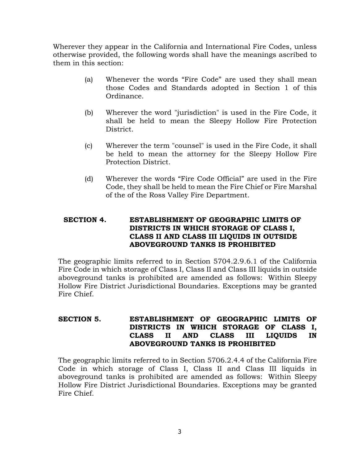Wherever they appear in the California and International Fire Codes, unless otherwise provided, the following words shall have the meanings ascribed to them in this section:

- (a) Whenever the words "Fire Code" are used they shall mean those Codes and Standards adopted in Section 1 of this Ordinance.
- (b) Wherever the word "jurisdiction" is used in the Fire Code, it shall be held to mean the Sleepy Hollow Fire Protection District.
- (c) Wherever the term "counsel" is used in the Fire Code, it shall be held to mean the attorney for the Sleepy Hollow Fire Protection District.
- (d) Wherever the words "Fire Code Official" are used in the Fire Code, they shall be held to mean the Fire Chief or Fire Marshal of the of the Ross Valley Fire Department.

# **SECTION 4. ESTABLISHMENT OF GEOGRAPHIC LIMITS OF DISTRICTS IN WHICH STORAGE OF CLASS I, CLASS II AND CLASS III LIQUIDS IN OUTSIDE ABOVEGROUND TANKS IS PROHIBITED**

The geographic limits referred to in Section 5704.2.9.6.1 of the California Fire Code in which storage of Class I, Class II and Class III liquids in outside aboveground tanks is prohibited are amended as follows: Within Sleepy Hollow Fire District Jurisdictional Boundaries. Exceptions may be granted Fire Chief.

# **SECTION 5. ESTABLISHMENT OF GEOGRAPHIC LIMITS OF DISTRICTS IN WHICH STORAGE OF CLASS I, CLASS II AND CLASS III LIQUIDS IN ABOVEGROUND TANKS IS PROHIBITED**

The geographic limits referred to in Section 5706.2.4.4 of the California Fire Code in which storage of Class I, Class II and Class III liquids in aboveground tanks is prohibited are amended as follows: Within Sleepy Hollow Fire District Jurisdictional Boundaries. Exceptions may be granted Fire Chief.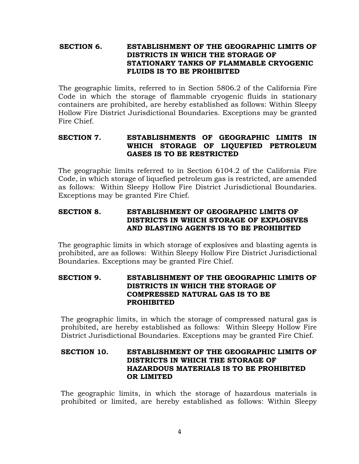## **SECTION 6. ESTABLISHMENT OF THE GEOGRAPHIC LIMITS OF DISTRICTS IN WHICH THE STORAGE OF STATIONARY TANKS OF FLAMMABLE CRYOGENIC FLUIDS IS TO BE PROHIBITED**

 The geographic limits, referred to in Section 5806.2 of the California Fire Code in which the storage of flammable cryogenic fluids in stationary containers are prohibited, are hereby established as follows: Within Sleepy Hollow Fire District Jurisdictional Boundaries. Exceptions may be granted Fire Chief.

# **SECTION 7. ESTABLISHMENTS OF GEOGRAPHIC LIMITS IN WHICH STORAGE OF LIQUEFIED PETROLEUM GASES IS TO BE RESTRICTED**

The geographic limits referred to in Section 6104.2 of the California Fire Code, in which storage of liquefied petroleum gas is restricted, are amended as follows: Within Sleepy Hollow Fire District Jurisdictional Boundaries. Exceptions may be granted Fire Chief.

# **SECTION 8. ESTABLISHMENT OF GEOGRAPHIC LIMITS OF DISTRICTS IN WHICH STORAGE OF EXPLOSIVES AND BLASTING AGENTS IS TO BE PROHIBITED**

The geographic limits in which storage of explosives and blasting agents is prohibited, are as follows: Within Sleepy Hollow Fire District Jurisdictional Boundaries. Exceptions may be granted Fire Chief.

#### **SECTION 9. ESTABLISHMENT OF THE GEOGRAPHIC LIMITS OF DISTRICTS IN WHICH THE STORAGE OF COMPRESSED NATURAL GAS IS TO BE PROHIBITED**

The geographic limits, in which the storage of compressed natural gas is prohibited, are hereby established as follows: Within Sleepy Hollow Fire District Jurisdictional Boundaries. Exceptions may be granted Fire Chief.

#### **SECTION 10. ESTABLISHMENT OF THE GEOGRAPHIC LIMITS OF DISTRICTS IN WHICH THE STORAGE OF HAZARDOUS MATERIALS IS TO BE PROHIBITED OR LIMITED**

The geographic limits, in which the storage of hazardous materials is prohibited or limited, are hereby established as follows: Within Sleepy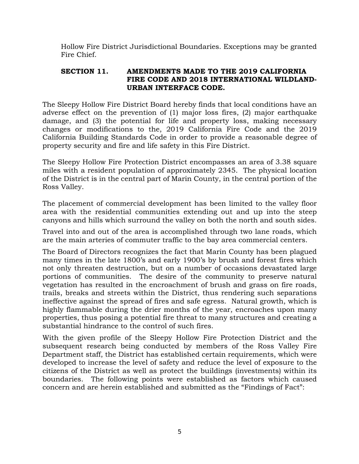Hollow Fire District Jurisdictional Boundaries. Exceptions may be granted Fire Chief.

#### **SECTION 11. AMENDMENTS MADE TO THE 2019 CALIFORNIA FIRE CODE AND 2018 INTERNATIONAL WILDLAND-URBAN INTERFACE CODE.**

The Sleepy Hollow Fire District Board hereby finds that local conditions have an adverse effect on the prevention of (1) major loss fires, (2) major earthquake damage, and (3) the potential for life and property loss, making necessary changes or modifications to the, 2019 California Fire Code and the 2019 California Building Standards Code in order to provide a reasonable degree of property security and fire and life safety in this Fire District.

The Sleepy Hollow Fire Protection District encompasses an area of 3.38 square miles with a resident population of approximately 2345. The physical location of the District is in the central part of Marin County, in the central portion of the Ross Valley.

The placement of commercial development has been limited to the valley floor area with the residential communities extending out and up into the steep canyons and hills which surround the valley on both the north and south sides.

Travel into and out of the area is accomplished through two lane roads, which are the main arteries of commuter traffic to the bay area commercial centers.

The Board of Directors recognizes the fact that Marin County has been plagued many times in the late 1800's and early 1900's by brush and forest fires which not only threaten destruction, but on a number of occasions devastated large portions of communities. The desire of the community to preserve natural vegetation has resulted in the encroachment of brush and grass on fire roads, trails, breaks and streets within the District, thus rendering such separations ineffective against the spread of fires and safe egress. Natural growth, which is highly flammable during the drier months of the year, encroaches upon many properties, thus posing a potential fire threat to many structures and creating a substantial hindrance to the control of such fires.

With the given profile of the Sleepy Hollow Fire Protection District and the subsequent research being conducted by members of the Ross Valley Fire Department staff, the District has established certain requirements, which were developed to increase the level of safety and reduce the level of exposure to the citizens of the District as well as protect the buildings (investments) within its boundaries. The following points were established as factors which caused concern and are herein established and submitted as the "Findings of Fact":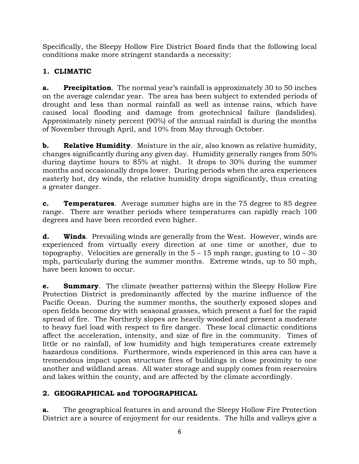Specifically, the Sleepy Hollow Fire District Board finds that the following local conditions make more stringent standards a necessity:

# **1. CLIMATIC**

**a. Precipitation**. The normal year's rainfall is approximately 30 to 50 inches on the average calendar year. The area has been subject to extended periods of drought and less than normal rainfall as well as intense rains, which have caused local flooding and damage from geotechnical failure (landslides). Approximately ninety percent (90%) of the annual rainfall is during the months of November through April, and 10% from May through October.

**b. Relative Humidity**. Moisture in the air, also known as relative humidity, changes significantly during any given day. Humidity generally ranges from 50% during daytime hours to 85% at night. It drops to 30% during the summer months and occasionally drops lower. During periods when the area experiences easterly hot, dry winds, the relative humidity drops significantly, thus creating a greater danger.

**c. Temperatures**. Average summer highs are in the 75 degree to 85 degree range. There are weather periods where temperatures can rapidly reach 100 degrees and have been recorded even higher.

**d. Winds**. Prevailing winds are generally from the West. However, winds are experienced from virtually every direction at one time or another, due to topography. Velocities are generally in the  $5 - 15$  mph range, gusting to  $10 - 30$ mph, particularly during the summer months. Extreme winds, up to 50 mph, have been known to occur.

**e. Summary**. The climate (weather patterns) within the Sleepy Hollow Fire Protection District is predominantly affected by the marine influence of the Pacific Ocean. During the summer months, the southerly exposed slopes and open fields become dry with seasonal grasses, which present a fuel for the rapid spread of fire. The Northerly slopes are heavily wooded and present a moderate to heavy fuel load with respect to fire danger. These local climactic conditions affect the acceleration, intensity, and size of fire in the community. Times of little or no rainfall, of low humidity and high temperatures create extremely hazardous conditions. Furthermore, winds experienced in this area can have a tremendous impact upon structure fires of buildings in close proximity to one another and wildland areas. All water storage and supply comes from reservoirs and lakes within the county, and are affected by the climate accordingly.

# **2. GEOGRAPHICAL and TOPOGRAPHICAL**

**a.** The geographical features in and around the Sleepy Hollow Fire Protection District are a source of enjoyment for our residents. The hills and valleys give a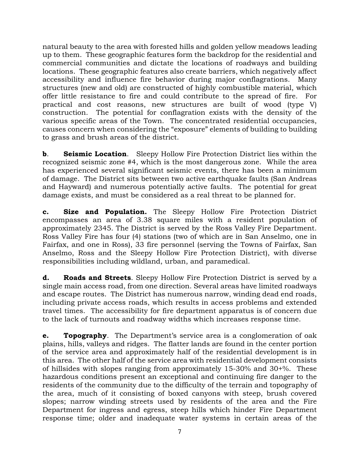natural beauty to the area with forested hills and golden yellow meadows leading up to them. These geographic features form the backdrop for the residential and commercial communities and dictate the locations of roadways and building locations. These geographic features also create barriers, which negatively affect accessibility and influence fire behavior during major conflagrations. Many structures (new and old) are constructed of highly combustible material, which offer little resistance to fire and could contribute to the spread of fire. For practical and cost reasons, new structures are built of wood (type V) construction. The potential for conflagration exists with the density of the various specific areas of the Town. The concentrated residential occupancies, causes concern when considering the "exposure" elements of building to building to grass and brush areas of the district.

**b. Seismic Location.** Sleepy Hollow Fire Protection District lies within the recognized seismic zone #4, which is the most dangerous zone. While the area has experienced several significant seismic events, there has been a minimum of damage. The District sits between two active earthquake faults (San Andreas and Hayward) and numerous potentially active faults. The potential for great damage exists, and must be considered as a real threat to be planned for.

**c. Size and Population.** The Sleepy Hollow Fire Protection District encompasses an area of 3.38 square miles with a resident population of approximately 2345. The District is served by the Ross Valley Fire Department. Ross Valley Fire has four (4) stations (two of which are in San Anselmo, one in Fairfax, and one in Ross), 33 fire personnel (serving the Towns of Fairfax, San Anselmo, Ross and the Sleepy Hollow Fire Protection District), with diverse responsibilities including wildland, urban, and paramedical.

**d. Roads and Streets**. Sleepy Hollow Fire Protection District is served by a single main access road, from one direction. Several areas have limited roadways and escape routes. The District has numerous narrow, winding dead end roads, including private access roads, which results in access problems and extended travel times. The accessibility for fire department apparatus is of concern due to the lack of turnouts and roadway widths which increases response time.

**e. Topography**. The Department's service area is a conglomeration of oak plains, hills, valleys and ridges. The flatter lands are found in the center portion of the service area and approximately half of the residential development is in this area. The other half of the service area with residential development consists of hillsides with slopes ranging from approximately 15-30% and 30+%. These hazardous conditions present an exceptional and continuing fire danger to the residents of the community due to the difficulty of the terrain and topography of the area, much of it consisting of boxed canyons with steep, brush covered slopes; narrow winding streets used by residents of the area and the Fire Department for ingress and egress, steep hills which hinder Fire Department response time; older and inadequate water systems in certain areas of the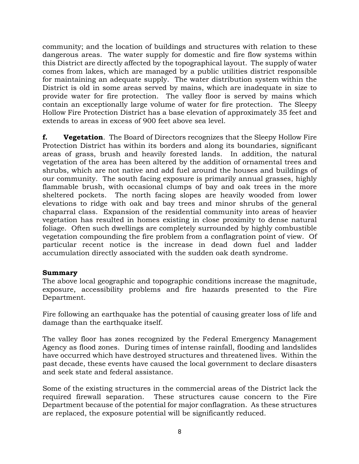community; and the location of buildings and structures with relation to these dangerous areas. The water supply for domestic and fire flow systems within this District are directly affected by the topographical layout. The supply of water comes from lakes, which are managed by a public utilities district responsible for maintaining an adequate supply. The water distribution system within the District is old in some areas served by mains, which are inadequate in size to provide water for fire protection. The valley floor is served by mains which contain an exceptionally large volume of water for fire protection. The Sleepy Hollow Fire Protection District has a base elevation of approximately 35 feet and extends to areas in excess of 900 feet above sea level.

**f. Vegetation**. The Board of Directors recognizes that the Sleepy Hollow Fire Protection District has within its borders and along its boundaries, significant areas of grass, brush and heavily forested lands. In addition, the natural vegetation of the area has been altered by the addition of ornamental trees and shrubs, which are not native and add fuel around the houses and buildings of our community. The south facing exposure is primarily annual grasses, highly flammable brush, with occasional clumps of bay and oak trees in the more sheltered pockets. The north facing slopes are heavily wooded from lower elevations to ridge with oak and bay trees and minor shrubs of the general chaparral class. Expansion of the residential community into areas of heavier vegetation has resulted in homes existing in close proximity to dense natural foliage. Often such dwellings are completely surrounded by highly combustible vegetation compounding the fire problem from a conflagration point of view. Of particular recent notice is the increase in dead down fuel and ladder accumulation directly associated with the sudden oak death syndrome.

#### **Summary**

The above local geographic and topographic conditions increase the magnitude, exposure, accessibility problems and fire hazards presented to the Fire Department.

Fire following an earthquake has the potential of causing greater loss of life and damage than the earthquake itself.

The valley floor has zones recognized by the Federal Emergency Management Agency as flood zones. During times of intense rainfall, flooding and landslides have occurred which have destroyed structures and threatened lives. Within the past decade, these events have caused the local government to declare disasters and seek state and federal assistance.

Some of the existing structures in the commercial areas of the District lack the required firewall separation. These structures cause concern to the Fire Department because of the potential for major conflagration. As these structures are replaced, the exposure potential will be significantly reduced.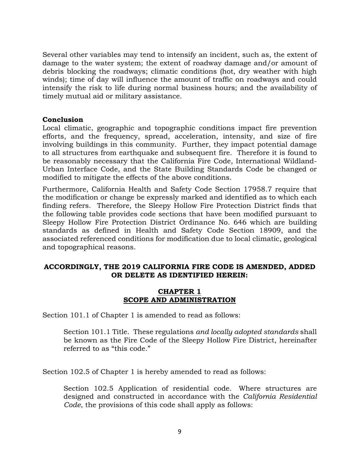Several other variables may tend to intensify an incident, such as, the extent of damage to the water system; the extent of roadway damage and/or amount of debris blocking the roadways; climatic conditions (hot, dry weather with high winds); time of day will influence the amount of traffic on roadways and could intensify the risk to life during normal business hours; and the availability of timely mutual aid or military assistance.

#### **Conclusion**

Local climatic, geographic and topographic conditions impact fire prevention efforts, and the frequency, spread, acceleration, intensity, and size of fire involving buildings in this community. Further, they impact potential damage to all structures from earthquake and subsequent fire. Therefore it is found to be reasonably necessary that the California Fire Code, International Wildland-Urban Interface Code, and the State Building Standards Code be changed or modified to mitigate the effects of the above conditions.

Furthermore, California Health and Safety Code Section 17958.7 require that the modification or change be expressly marked and identified as to which each finding refers. Therefore, the Sleepy Hollow Fire Protection District finds that the following table provides code sections that have been modified pursuant to Sleepy Hollow Fire Protection District Ordinance No. 646 which are building standards as defined in Health and Safety Code Section 18909, and the associated referenced conditions for modification due to local climatic, geological and topographical reasons.

## **ACCORDINGLY, THE 2019 CALIFORNIA FIRE CODE IS AMENDED, ADDED OR DELETE AS IDENTIFIED HEREIN:**

## **CHAPTER 1 SCOPE AND ADMINISTRATION**

Section 101.1 of Chapter 1 is amended to read as follows:

Section 101.1 Title. These regulations *and locally adopted standards* shall be known as the Fire Code of the Sleepy Hollow Fire District, hereinafter referred to as "this code."

Section 102.5 of Chapter 1 is hereby amended to read as follows:

Section 102.5 Application of residential code. Where structures are designed and constructed in accordance with the *California Residential Code*, the provisions of this code shall apply as follows: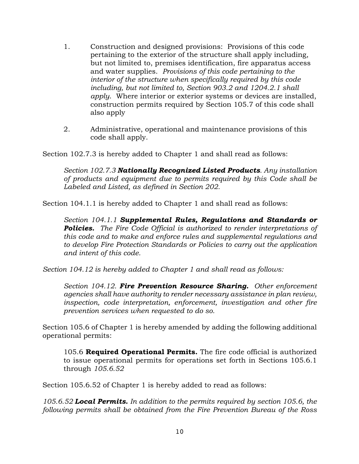- 1. Construction and designed provisions: Provisions of this code pertaining to the exterior of the structure shall apply including, but not limited to, premises identification, fire apparatus access and water supplies. *Provisions of this code pertaining to the interior of the structure when specifically required by this code including, but not limited to, Section 903.2 and 1204.2.1 shall apply*. Where interior or exterior systems or devices are installed, construction permits required by Section 105.7 of this code shall also apply
- 2. Administrative, operational and maintenance provisions of this code shall apply.

Section 102.7.3 is hereby added to Chapter 1 and shall read as follows:

*Section 102.7.3 Nationally Recognized Listed Products. Any installation of products and equipment due to permits required by this Code shall be Labeled and Listed, as defined in Section 202.*

Section 104.1.1 is hereby added to Chapter 1 and shall read as follows:

*Section 104.1.1 Supplemental Rules, Regulations and Standards or Policies. The Fire Code Official is authorized to render interpretations of this code and to make and enforce rules and supplemental regulations and to develop Fire Protection Standards or Policies to carry out the application and intent of this code.* 

*Section 104.12 is hereby added to Chapter 1 and shall read as follows:*

*Section 104.12. Fire Prevention Resource Sharing. Other enforcement agencies shall have authority to render necessary assistance in plan review, inspection, code interpretation, enforcement, investigation and other fire prevention services when requested to do so.*

Section 105.6 of Chapter 1 is hereby amended by adding the following additional operational permits:

105.6 **Required Operational Permits.** The fire code official is authorized to issue operational permits for operations set forth in Sections 105.6.1 through *105.6.52*

Section 105.6.52 of Chapter 1 is hereby added to read as follows:

*105.6.52 Local Permits. In addition to the permits required by section 105.6, the following permits shall be obtained from the Fire Prevention Bureau of the Ross*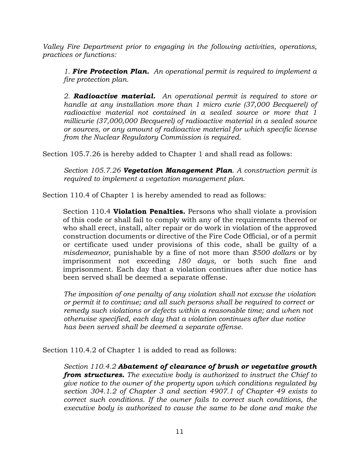*Valley Fire Department prior to engaging in the following activities, operations, practices or functions:*

*1. Fire Protection Plan. An operational permit is required to implement a fire protection plan.*

*2. Radioactive material. An operational permit is required to store or handle at any installation more than 1 micro curie (37,000 Becquerel) of radioactive material not contained in a sealed source or more that 1 millicurie (37,000,000 Becquerel) of radioactive material in a sealed source or sources, or any amount of radioactive material for which specific license from the Nuclear Regulatory Commission is required.*

Section 105.7.26 is hereby added to Chapter 1 and shall read as follows:

*Section 105.7.26 Vegetation Management Plan. A construction permit is required to implement a vegetation management plan.*

Section 110.4 of Chapter 1 is hereby amended to read as follows:

Section 110.4 **Violation Penalties.** Persons who shall violate a provision of this code or shall fail to comply with any of the requirements thereof or who shall erect, install, alter repair or do work in violation of the approved construction documents or directive of the Fire Code Official, or of a permit or certificate used under provisions of this code, shall be guilty of a *misdemeanor,* punishable by a fine of not more than *\$500 dollars* or by imprisonment not exceeding *180 days,* or both such fine and imprisonment. Each day that a violation continues after due notice has been served shall be deemed a separate offense.

*The imposition of one penalty of any violation shall not excuse the violation or permit it to continue; and all such persons shall be required to correct or remedy such violations or defects within a reasonable time; and when not otherwise specified, each day that a violation continues after due notice has been served shall be deemed a separate offense.*

Section 110.4.2 of Chapter 1 is added to read as follows:

*Section 110.4.2 Abatement of clearance of brush or vegetative growth from structures. The executive body is authorized to instruct the Chief to give notice to the owner of the property upon which conditions regulated by section 304.1.2 of Chapter 3 and section 4907.1 of Chapter 49 exists to correct such conditions. If the owner fails to correct such conditions, the executive body is authorized to cause the same to be done and make the*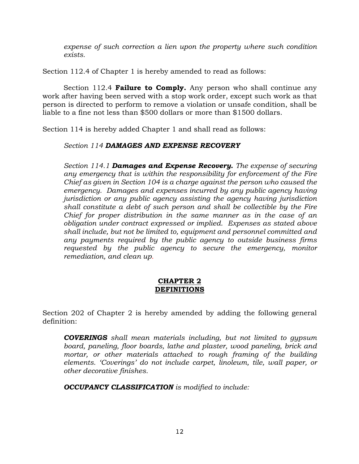*expense of such correction a lien upon the property where such condition exists.*

Section 112.4 of Chapter 1 is hereby amended to read as follows:

Section 112.4 **Failure to Comply.** Any person who shall continue any work after having been served with a stop work order, except such work as that person is directed to perform to remove a violation or unsafe condition, shall be liable to a fine not less than \$500 dollars or more than \$1500 dollars.

Section 114 is hereby added Chapter 1 and shall read as follows:

#### *Section 114 DAMAGES AND EXPENSE RECOVERY*

*Section 114.1 Damages and Expense Recovery. The expense of securing any emergency that is within the responsibility for enforcement of the Fire Chief as given in Section 104 is a charge against the person who caused the emergency. Damages and expenses incurred by any public agency having jurisdiction or any public agency assisting the agency having jurisdiction shall constitute a debt of such person and shall be collectible by the Fire Chief for proper distribution in the same manner as in the case of an obligation under contract expressed or implied. Expenses as stated above shall include, but not be limited to, equipment and personnel committed and any payments required by the public agency to outside business firms requested by the public agency to secure the emergency, monitor remediation, and clean up.*

## **CHAPTER 2 DEFINITIONS**

Section 202 of Chapter 2 is hereby amended by adding the following general definition:

*COVERINGS shall mean materials including, but not limited to gypsum board, paneling, floor boards, lathe and plaster, wood paneling, brick and*  mortar, or other materials attached to rough framing of the building *elements. 'Coverings' do not include carpet, linoleum, tile, wall paper, or other decorative finishes.*

*OCCUPANCY CLASSIFICATION is modified to include:*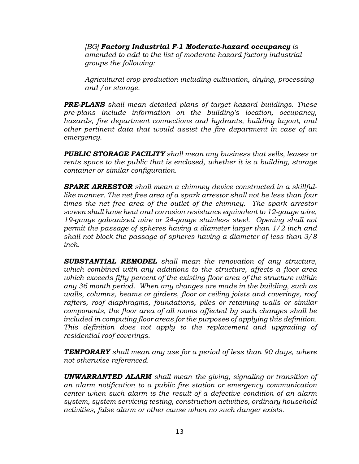*[BG] Factory Industrial F-1 Moderate-hazard occupancy is amended to add to the list of moderate-hazard factory industrial groups the following:*

*Agricultural crop production including cultivation, drying, processing and /or storage.* 

*PRE-PLANS shall mean detailed plans of target hazard buildings. These pre-plans include information on the building's location, occupancy, hazards, fire department connections and hydrants, building layout, and other pertinent data that would assist the fire department in case of an emergency.*

*PUBLIC STORAGE FACILITY shall mean any business that sells, leases or rents space to the public that is enclosed, whether it is a building, storage container or similar configuration.*

*SPARK ARRESTOR shall mean a chimney device constructed in a skillfullike manner. The net free area of a spark arrestor shall not be less than four times the net free area of the outlet of the chimney. The spark arrestor screen shall have heat and corrosion resistance equivalent to 12-gauge wire, 19-gauge galvanized wire or 24-gauge stainless steel. Opening shall not permit the passage of spheres having a diameter larger than 1/2 inch and shall not block the passage of spheres having a diameter of less than 3/8 inch.*

*SUBSTANTIAL REMODEL shall mean the renovation of any structure, which combined with any additions to the structure, affects a floor area which exceeds fifty percent of the existing floor area of the structure within any 36 month period. When any changes are made in the building, such as*  walls, columns, beams or girders, floor or ceiling joists and coverings, roof *rafters, roof diaphragms, foundations, piles or retaining walls or similar components, the floor area of all rooms affected by such changes shall be included in computing floor areas for the purposes of applying this definition. This definition does not apply to the replacement and upgrading of residential roof coverings.* 

*TEMPORARY shall mean any use for a period of less than 90 days, where not otherwise referenced.*

*UNWARRANTED ALARM shall mean the giving, signaling or transition of an alarm notification to a public fire station or emergency communication center when such alarm is the result of a defective condition of an alarm system, system servicing testing, construction activities, ordinary household activities, false alarm or other cause when no such danger exists.*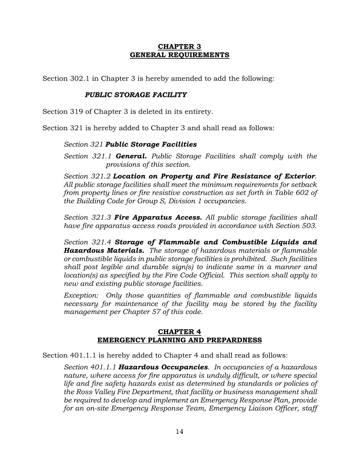# **CHAPTER 3 GENERAL REQUIREMENTS**

Section 302.1 in Chapter 3 is hereby amended to add the following:

# *PUBLIC STORAGE FACILITY*

Section 319 of Chapter 3 is deleted in its entirety.

Section 321 is hereby added to Chapter 3 and shall read as follows:

# *Section 321 Public Storage Facilities*

*Section 321.1 General. Public Storage Facilities shall comply with the provisions of this section.*

*Section 321.2 Location on Property and Fire Resistance of Exterior. All public storage facilities shall meet the minimum requirements for setback from property lines or fire resistive construction as set forth in Table 602 of the Building Code for Group S, Division 1 occupancies.*

*Section 321.3 Fire Apparatus Access. All public storage facilities shall have fire apparatus access roads provided in accordance with Section 503.*

*Section 321.4 Storage of Flammable and Combustible Liquids and Hazardous Materials. The storage of hazardous materials or flammable or combustible liquids in public storage facilities is prohibited. Such facilities shall post legible and durable sign(s) to indicate same in a manner and location(s) as specified by the Fire Code Official. This section shall apply to new and existing public storage facilities.*

*Exception: Only those quantities of flammable and combustible liquids necessary for maintenance of the facility may be stored by the facility management per Chapter 57 of this code.*

## **CHAPTER 4 EMERGENCY PLANNING AND PREPARDNESS**

Section 401.1.1 is hereby added to Chapter 4 and shall read as follows:

*Section 401.1.1 Hazardous Occupancies. In occupancies of a hazardous nature, where access for fire apparatus is unduly difficult, or where special life and fire safety hazards exist as determined by standards or policies of the Ross Valley Fire Department, that facility or business management shall be required to develop and implement an Emergency Response Plan, provide for an on-site Emergency Response Team, Emergency Liaison Officer, staff*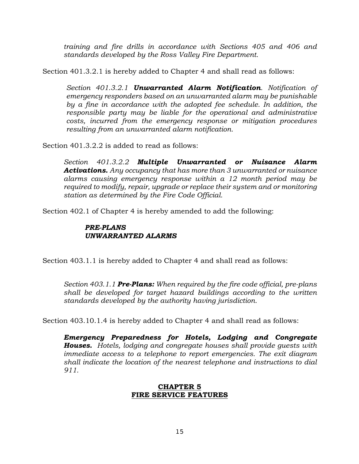*training and fire drills in accordance with Sections 405 and 406 and standards developed by the Ross Valley Fire Department.* 

Section 401.3.2.1 is hereby added to Chapter 4 and shall read as follows:

*Section 401.3.2.1 Unwarranted Alarm Notification. Notification of emergency responders based on an unwarranted alarm may be punishable by a fine in accordance with the adopted fee schedule. In addition, the responsible party may be liable for the operational and administrative costs, incurred from the emergency response or mitigation procedures resulting from an unwarranted alarm notification.*

Section 401.3.2.2 is added to read as follows:

*Section 401.3.2.2 Multiple Unwarranted or Nuisance Alarm Activations. Any occupancy that has more than 3 unwarranted or nuisance alarms causing emergency response within a 12 month period may be required to modify, repair, upgrade or replace their system and or monitoring station as determined by the Fire Code Official.*

Section 402.1 of Chapter 4 is hereby amended to add the following:

#### *PRE-PLANS UNWARRANTED ALARMS*

Section 403.1.1 is hereby added to Chapter 4 and shall read as follows:

*Section 403.1.1 Pre-Plans: When required by the fire code official, pre-plans shall be developed for target hazard buildings according to the written standards developed by the authority having jurisdiction.*

Section 403.10.1.4 is hereby added to Chapter 4 and shall read as follows:

*Emergency Preparedness for Hotels, Lodging and Congregate Houses. Hotels, lodging and congregate houses shall provide guests with immediate access to a telephone to report emergencies. The exit diagram shall indicate the location of the nearest telephone and instructions to dial 911.*

#### **CHAPTER 5 FIRE SERVICE FEATURES**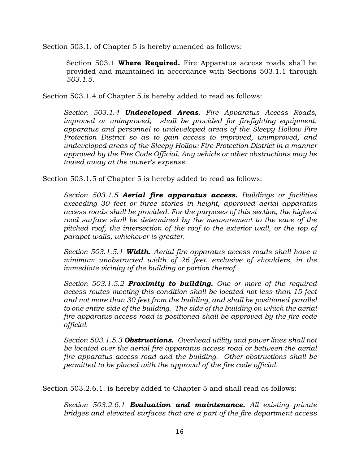Section 503.1. of Chapter 5 is hereby amended as follows:

Section 503.1 **Where Required.** Fire Apparatus access roads shall be provided and maintained in accordance with Sections 503.1.1 through *503.1.5.*

Section 503.1.4 of Chapter 5 is hereby added to read as follows:

*Section 503.1.4 Undeveloped Areas. Fire Apparatus Access Roads, improved or unimproved, shall be provided for firefighting equipment, apparatus and personnel to undeveloped areas of the Sleepy Hollow Fire Protection District so as to gain access to improved, unimproved, and undeveloped areas of the Sleepy Hollow Fire Protection District in a manner approved by the Fire Code Official. Any vehicle or other obstructions may be towed away at the owner's expense.*

Section 503.1.5 of Chapter 5 is hereby added to read as follows:

*Section 503.1.5 Aerial fire apparatus access. Buildings or facilities exceeding 30 feet or three stories in height, approved aerial apparatus access roads shall be provided. For the purposes of this section, the highest rood surface shall be determined by the measurement to the eave of the pitched roof, the intersection of the roof to the exterior wall, or the top of parapet walls, whichever is greater.*

*Section 503.1.5.1 Width. Aerial fire apparatus access roads shall have a minimum unobstructed width of 26 feet, exclusive of shoulders, in the immediate vicinity of the building or portion thereof.*

*Section 503.1.5.2 Proximity to building. One or more of the required access routes meeting this condition shall be located not less than 15 feet and not more than 30 feet from the building, and shall be positioned parallel to one entire side of the building. The side of the building on which the aerial fire apparatus access road is positioned shall be approved by the fire code official.*

*Section 503.1.5.3 Obstructions. Overhead utility and power lines shall not be located over the aerial fire apparatus access road or between the aerial fire apparatus access road and the building. Other obstructions shall be permitted to be placed with the approval of the fire code official.*

Section 503.2.6.1. is hereby added to Chapter 5 and shall read as follows:

*Section 503.2.6.1 Evaluation and maintenance. All existing private bridges and elevated surfaces that are a part of the fire department access*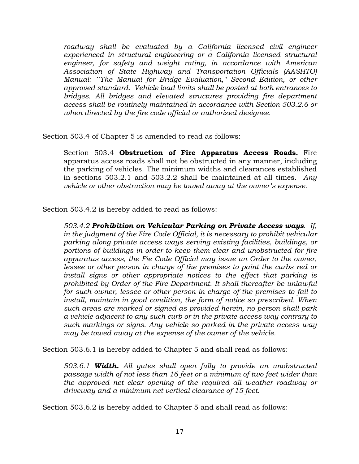*roadway shall be evaluated by a California licensed civil engineer experienced in structural engineering or a California licensed structural engineer, for safety and weight rating, in accordance with American Association of State Highway and Transportation Officials (AASHTO) Manual: ``The Manual for Bridge Evaluation,'' Second Edition, or other approved standard. Vehicle load limits shall be posted at both entrances to bridges. All bridges and elevated structures providing fire department access shall be routinely maintained in accordance with Section 503.2.6 or when directed by the fire code official or authorized designee.*

Section 503.4 of Chapter 5 is amended to read as follows:

Section 503.4 **Obstruction of Fire Apparatus Access Roads.** Fire apparatus access roads shall not be obstructed in any manner, including the parking of vehicles. The minimum widths and clearances established in sections 503.2.1 and 503.2.2 shall be maintained at all times. *Any vehicle or other obstruction may be towed away at the owner's expense.*

Section 503.4.2 is hereby added to read as follows:

*503.4.2 Prohibition on Vehicular Parking on Private Access ways. If, in the judgment of the Fire Code Official, it is necessary to prohibit vehicular parking along private access ways serving existing facilities, buildings, or portions of buildings in order to keep them clear and unobstructed for fire apparatus access, the Fie Code Official may issue an Order to the owner, lessee or other person in charge of the premises to paint the curbs red or*  install signs or other appropriate notices to the effect that parking is *prohibited by Order of the Fire Department. It shall thereafter be unlawful for such owner, lessee or other person in charge of the premises to fail to install, maintain in good condition, the form of notice so prescribed. When such areas are marked or signed as provided herein, no person shall park a vehicle adjacent to any such curb or in the private access way contrary to such markings or signs. Any vehicle so parked in the private access way may be towed away at the expense of the owner of the vehicle.*

Section 503.6.1 is hereby added to Chapter 5 and shall read as follows:

*503.6.1 Width. All gates shall open fully to provide an unobstructed passage width of not less than 16 feet or a minimum of two feet wider than the approved net clear opening of the required all weather roadway or driveway and a minimum net vertical clearance of 15 feet.*

Section 503.6.2 is hereby added to Chapter 5 and shall read as follows: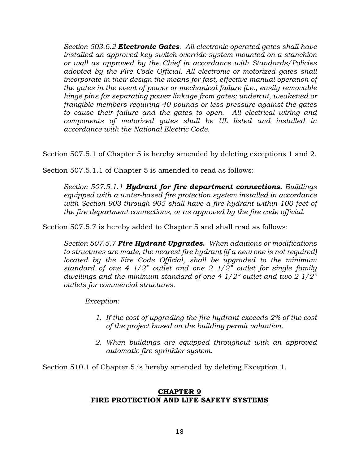*Section 503.6.2 Electronic Gates. All electronic operated gates shall have installed an approved key switch override system mounted on a stanchion or wall as approved by the Chief in accordance with Standards/Policies adopted by the Fire Code Official. All electronic or motorized gates shall incorporate in their design the means for fast, effective manual operation of the gates in the event of power or mechanical failure (i.e., easily removable hinge pins for separating power linkage from gates; undercut, weakened or frangible members requiring 40 pounds or less pressure against the gates to cause their failure and the gates to open. All electrical wiring and components of motorized gates shall be UL listed and installed in accordance with the National Electric Code.*

Section 507.5.1 of Chapter 5 is hereby amended by deleting exceptions 1 and 2.

Section 507.5.1.1 of Chapter 5 is amended to read as follows:

*Section 507.5.1.1 Hydrant for fire department connections. Buildings equipped with a water-based fire protection system installed in accordance with Section 903 through 905 shall have a fire hydrant within 100 feet of the fire department connections, or as approved by the fire code official.* 

Section 507.5.7 is hereby added to Chapter 5 and shall read as follows:

*Section 507.5.7 Fire Hydrant Upgrades. When additions or modifications to structures are made, the nearest fire hydrant (if a new one is not required) located by the Fire Code Official, shall be upgraded to the minimum standard of one 4 1/2" outlet and one 2 1/2" outlet for single family dwellings and the minimum standard of one 4 1/2" outlet and two 2 1/2" outlets for commercial structures.*

*Exception:* 

- *1. If the cost of upgrading the fire hydrant exceeds 2% of the cost of the project based on the building permit valuation.*
- *2. When buildings are equipped throughout with an approved automatic fire sprinkler system.*

Section 510.1 of Chapter 5 is hereby amended by deleting Exception 1.

#### **CHAPTER 9 FIRE PROTECTION AND LIFE SAFETY SYSTEMS**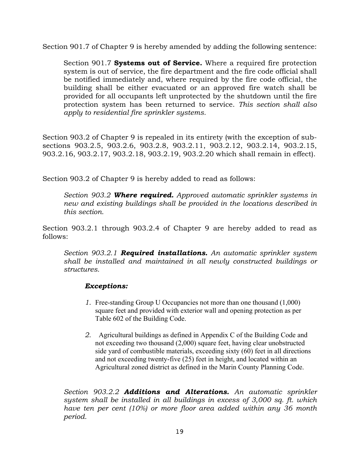Section 901.7 of Chapter 9 is hereby amended by adding the following sentence:

Section 901.7 **Systems out of Service.** Where a required fire protection system is out of service, the fire department and the fire code official shall be notified immediately and, where required by the fire code official, the building shall be either evacuated or an approved fire watch shall be provided for all occupants left unprotected by the shutdown until the fire protection system has been returned to service. *This section shall also apply to residential fire sprinkler systems.*

Section 903.2 of Chapter 9 is repealed in its entirety (with the exception of subsections 903.2.5, 903.2.6, 903.2.8, 903.2.11, 903.2.12, 903.2.14, 903.2.15, 903.2.16, 903.2.17, 903.2.18, 903.2.19, 903.2.20 which shall remain in effect).

Section 903.2 of Chapter 9 is hereby added to read as follows:

*Section 903.2 Where required. Approved automatic sprinkler systems in new and existing buildings shall be provided in the locations described in this section.*

Section 903.2.1 through 903.2.4 of Chapter 9 are hereby added to read as follows:

*Section 903.2.1 Required installations. An automatic sprinkler system shall be installed and maintained in all newly constructed buildings or structures.*

## *Exceptions:*

- *1.* Free-standing Group U Occupancies not more than one thousand (1,000) square feet and provided with exterior wall and opening protection as per Table 602 of the Building Code.
- *2.* Agricultural buildings as defined in Appendix C of the Building Code and not exceeding two thousand (2,000) square feet, having clear unobstructed side yard of combustible materials, exceeding sixty (60) feet in all directions and not exceeding twenty-five (25) feet in height, and located within an Agricultural zoned district as defined in the Marin County Planning Code.

*Section 903.2.2 Additions and Alterations. An automatic sprinkler system shall be installed in all buildings in excess of 3,000 sq. ft. which have ten per cent (10%) or more floor area added within any 36 month period.*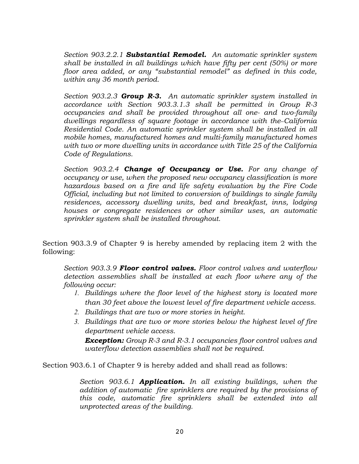*Section 903.2.2.1 Substantial Remodel. An automatic sprinkler system shall be installed in all buildings which have fifty per cent (50%) or more floor area added, or any "substantial remodel" as defined in this code, within any 36 month period.*

*Section 903.2.3 Group R-3. An automatic sprinkler system installed in accordance with Section 903.3.1.3 shall be permitted in Group R-3 occupancies and shall be provided throughout all one- and two-family dwellings regardless of square footage in accordance with the California Residential Code. An automatic sprinkler system shall be installed in all mobile homes, manufactured homes and multi-family manufactured homes with two or more dwelling units in accordance with Title 25 of the California Code of Regulations.*

*Section 903.2.4 Change of Occupancy or Use. For any change of occupancy or use, when the proposed new occupancy classification is more hazardous based on a fire and life safety evaluation by the Fire Code Official, including but not limited to conversion of buildings to single family residences, accessory dwelling units, bed and breakfast, inns, lodging houses or congregate residences or other similar uses, an automatic sprinkler system shall be installed throughout.*

Section 903.3.9 of Chapter 9 is hereby amended by replacing item 2 with the following:

*Section 903.3.9 Floor control valves. Floor control valves and waterflow detection assemblies shall be installed at each floor where any of the following occur:*

- *1. Buildings where the floor level of the highest story is located more than 30 feet above the lowest level of fire department vehicle access.*
- *2. Buildings that are two or more stories in height.*
- *3. Buildings that are two or more stories below the highest level of fire department vehicle access.*

*Exception: Group R-3 and R-3.1 occupancies floor control valves and waterflow detection assemblies shall not be required.*

Section 903.6.1 of Chapter 9 is hereby added and shall read as follows:

*Section 903.6.1 Application. In all existing buildings, when the addition of automatic fire sprinklers are required by the provisions of this code, automatic fire sprinklers shall be extended into all unprotected areas of the building.*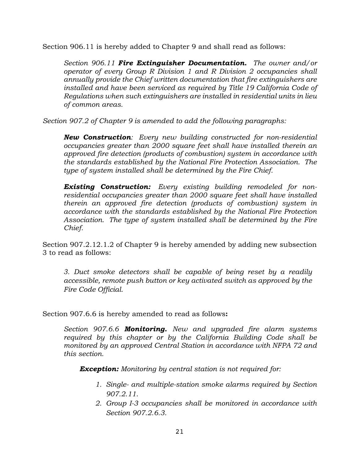Section 906.11 is hereby added to Chapter 9 and shall read as follows:

*Section 906.11 Fire Extinguisher Documentation. The owner and/or operator of every Group R Division 1 and R Division 2 occupancies shall annually provide the Chief written documentation that fire extinguishers are installed and have been serviced as required by Title 19 California Code of Regulations when such extinguishers are installed in residential units in lieu of common areas.*

*Section 907.2 of Chapter 9 is amended to add the following paragraphs:*

*New Construction: Every new building constructed for non-residential occupancies greater than 2000 square feet shall have installed therein an approved fire detection (products of combustion) system in accordance with the standards established by the National Fire Protection Association. The type of system installed shall be determined by the Fire Chief.*

*Existing Construction: Every existing building remodeled for nonresidential occupancies greater than 2000 square feet shall have installed therein an approved fire detection (products of combustion) system in accordance with the standards established by the National Fire Protection Association. The type of system installed shall be determined by the Fire Chief.*

Section 907.2.12.1.2 of Chapter 9 is hereby amended by adding new subsection 3 to read as follows:

*3. Duct smoke detectors shall be capable of being reset by a readily accessible, remote push button or key activated switch as approved by the Fire Code Official.*

Section 907.6.6 is hereby amended to read as follows**:**

*Section 907.6.6 Monitoring. New and upgraded fire alarm systems required by this chapter or by the California Building Code shall be monitored by an approved Central Station in accordance with NFPA 72 and this section.*

*Exception: Monitoring by central station is not required for:*

- *1. Single- and multiple-station smoke alarms required by Section 907.2.11.*
- *2. Group I-3 occupancies shall be monitored in accordance with Section 907.2.6.3.*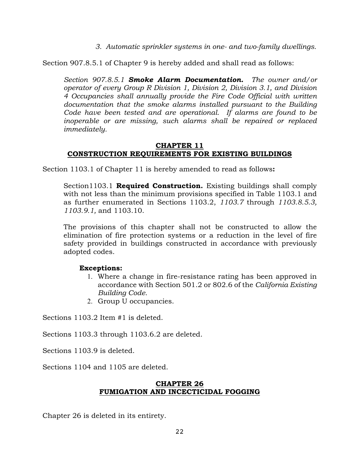*3. Automatic sprinkler systems in one- and two-family dwellings.*

Section 907.8.5.1 of Chapter 9 is hereby added and shall read as follows:

*Section 907.8.5.1 Smoke Alarm Documentation. The owner and/or operator of every Group R Division 1, Division 2, Division 3.1, and Division 4 Occupancies shall annually provide the Fire Code Official with written documentation that the smoke alarms installed pursuant to the Building Code have been tested and are operational. If alarms are found to be inoperable or are missing, such alarms shall be repaired or replaced immediately.*

## **CHAPTER 11 CONSTRUCTION REQUIREMENTS FOR EXISTING BUILDINGS**

Section 1103.1 of Chapter 11 is hereby amended to read as follows**:**

Section1103.1 **Required Construction.** Existing buildings shall comply with not less than the minimum provisions specified in Table 1103.1 and as further enumerated in Sections 1103.2, *1103.7* through *1103.8.5.3, 1103.9.1,* and 1103.10.

The provisions of this chapter shall not be constructed to allow the elimination of fire protection systems or a reduction in the level of fire safety provided in buildings constructed in accordance with previously adopted codes.

## **Exceptions:**

- 1. Where a change in fire-resistance rating has been approved in accordance with Section 501.2 or 802.6 of the *California Existing Building Code.*
- 2. Group U occupancies.

Sections 1103.2 Item #1 is deleted.

Sections 1103.3 through 1103.6.2 are deleted.

Sections 1103.9 is deleted.

Sections 1104 and 1105 are deleted.

## **CHAPTER 26 FUMIGATION AND INCECTICIDAL FOGGING**

Chapter 26 is deleted in its entirety.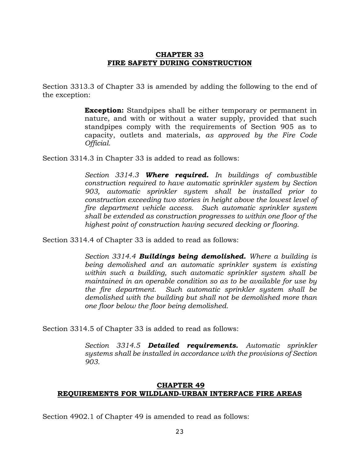## **CHAPTER 33 FIRE SAFETY DURING CONSTRUCTION**

Section 3313.3 of Chapter 33 is amended by adding the following to the end of the exception:

> **Exception:** Standpipes shall be either temporary or permanent in nature, and with or without a water supply, provided that such standpipes comply with the requirements of Section 905 as to capacity, outlets and materials, *as approved by the Fire Code Official.*

Section 3314.3 in Chapter 33 is added to read as follows:

*Section 3314.3 Where required. In buildings of combustible construction required to have automatic sprinkler system by Section 903, automatic sprinkler system shall be installed prior to construction exceeding two stories in height above the lowest level of fire department vehicle access. Such automatic sprinkler system shall be extended as construction progresses to within one floor of the highest point of construction having secured decking or flooring.*

Section 3314.4 of Chapter 33 is added to read as follows:

*Section 3314.4 Buildings being demolished. Where a building is being demolished and an automatic sprinkler system is existing within such a building, such automatic sprinkler system shall be maintained in an operable condition so as to be available for use by the fire department. Such automatic sprinkler system shall be demolished with the building but shall not be demolished more than one floor below the floor being demolished.*

Section 3314.5 of Chapter 33 is added to read as follows:

*Section 3314.5 Detailed requirements. Automatic sprinkler systems shall be installed in accordance with the provisions of Section 903.*

#### **CHAPTER 49 REQUIREMENTS FOR WILDLAND-URBAN INTERFACE FIRE AREAS**

Section 4902.1 of Chapter 49 is amended to read as follows: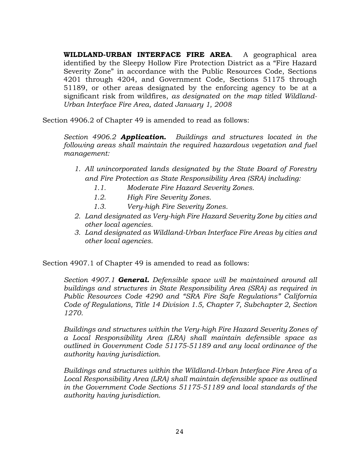**WILDLAND-URBAN INTERFACE FIRE AREA**. A geographical area identified by the Sleepy Hollow Fire Protection District as a "Fire Hazard Severity Zone" in accordance with the Public Resources Code, Sections 4201 through 4204, and Government Code, Sections 51175 through 51189, or other areas designated by the enforcing agency to be at a significant risk from wildfires, *as designated on the map titled Wildland-Urban Interface Fire Area, dated January 1, 2008*

Section 4906.2 of Chapter 49 is amended to read as follows:

*Section 4906.2 Application. Buildings and structures located in the following areas shall maintain the required hazardous vegetation and fuel management:*

- *1. All unincorporated lands designated by the State Board of Forestry and Fire Protection as State Responsibility Area (SRA) including:*
	- *1.1. Moderate Fire Hazard Severity Zones.*
	- *1.2. High Fire Severity Zones.*
	- *1.3. Very-high Fire Severity Zones.*
- *2. Land designated as Very-high Fire Hazard Severity Zone by cities and other local agencies.*
- *3. Land designated as Wildland-Urban Interface Fire Areas by cities and other local agencies.*

Section 4907.1 of Chapter 49 is amended to read as follows:

*Section 4907.1 General. Defensible space will be maintained around all buildings and structures in State Responsibility Area (SRA) as required in Public Resources Code 4290 and "SRA Fire Safe Regulations" California Code of Regulations, Title 14 Division 1.5, Chapter 7, Subchapter 2, Section 1270.*

*Buildings and structures within the Very-high Fire Hazard Severity Zones of a Local Responsibility Area (LRA) shall maintain defensible space as outlined in Government Code 51175-51189 and any local ordinance of the authority having jurisdiction.*

*Buildings and structures within the Wildland-Urban Interface Fire Area of a Local Responsibility Area (LRA) shall maintain defensible space as outlined in the Government Code Sections 51175-51189 and local standards of the authority having jurisdiction.*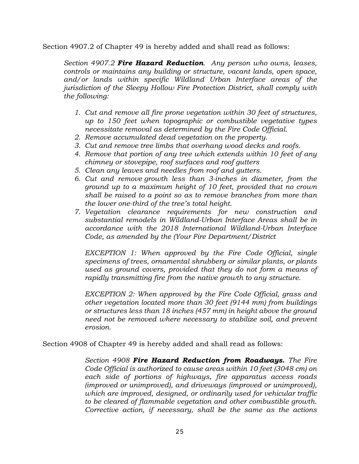Section 4907.2 of Chapter 49 is hereby added and shall read as follows:

*Section 4907.2 Fire Hazard Reduction. Any person who owns, leases, controls or maintains any building or structure, vacant lands, open space, and/or lands within specific Wildland Urban Interface areas of the jurisdiction of the Sleepy Hollow Fire Protection District, shall comply with the following:* 

- *1. Cut and remove all fire prone vegetation within 30 feet of structures, up to 150 feet when topographic or combustible vegetative types necessitate removal as determined by the Fire Code Official.*
- *2. Remove accumulated dead vegetation on the property.*
- *3. Cut and remove tree limbs that overhang wood decks and roofs.*
- *4. Remove that portion of any tree which extends within 10 feet of any chimney or stovepipe, roof surfaces and roof gutters*
- *5. Clean any leaves and needles from roof and gutters.*
- *6. Cut and remove growth less than 3-inches in diameter, from the ground up to a maximum height of 10 feet, provided that no crown shall be raised to a point so as to remove branches from more than the lower one-third of the tree's total height.*
- *7. Vegetation clearance requirements for new construction and substantial remodels in Wildland-Urban Interface Areas shall be in accordance with the 2018 International Wildland-Urban Interface Code, as amended by the (Your Fire Department/District*

*EXCEPTION 1: When approved by the Fire Code Official, single specimens of trees, ornamental shrubbery or similar plants, or plants used as ground covers, provided that they do not form a means of rapidly transmitting fire from the native growth to any structure.*

*EXCEPTION 2: When approved by the Fire Code Official, grass and other vegetation located more than 30 feet (9144 mm) from buildings or structures less than 18 inches (457 mm) in height above the ground need not be removed where necessary to stabilize soil, and prevent erosion.*

Section 4908 of Chapter 49 is hereby added and shall read as follows:

*Section 4908 Fire Hazard Reduction from Roadways. The Fire Code Official is authorized to cause areas within 10 feet (3048 cm) on each side of portions of highways, fire apparatus access roads (improved or unimproved), and driveways (improved or unimproved), which are improved, designed, or ordinarily used for vehicular traffic to be cleared of flammable vegetation and other combustible growth. Corrective action, if necessary, shall be the same as the actions*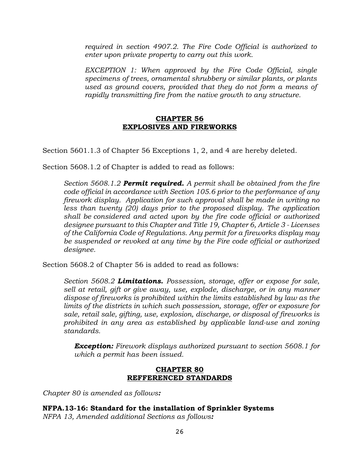*required in section 4907.2. The Fire Code Official is authorized to enter upon private property to carry out this work.*

*EXCEPTION 1: When approved by the Fire Code Official, single specimens of trees, ornamental shrubbery or similar plants, or plants used as ground covers, provided that they do not form a means of rapidly transmitting fire from the native growth to any structure.*

#### **CHAPTER 56 EXPLOSIVES AND FIREWORKS**

Section 5601.1.3 of Chapter 56 Exceptions 1, 2, and 4 are hereby deleted.

Section 5608.1.2 of Chapter is added to read as follows:

*Section 5608.1.2 Permit required. A permit shall be obtained from the fire code official in accordance with Section 105.6 prior to the performance of any firework display. Application for such approval shall be made in writing no less than twenty (20) days prior to the proposed display. The application shall be considered and acted upon by the fire code official or authorized designee pursuant to this Chapter and Title 19, Chapter 6, Article 3 - Licenses of the California Code of Regulations. Any permit for a fireworks display may be suspended or revoked at any time by the Fire code official or authorized designee.*

Section 5608.2 of Chapter 56 is added to read as follows:

*Section 5608.2 Limitations. Possession, storage, offer or expose for sale, sell at retail, gift or give away, use, explode, discharge, or in any manner dispose of fireworks is prohibited within the limits established by law as the limits of the districts in which such possession, storage, offer or exposure for sale, retail sale, gifting, use, explosion, discharge, or disposal of fireworks is prohibited in any area as established by applicable land-use and zoning standards.*

*Exception: Firework displays authorized pursuant to section 5608.1 for which a permit has been issued.*

## **CHAPTER 80 REFFERENCED STANDARDS**

*Chapter 80 is amended as follows:*

**NFPA.13-16: Standard for the installation of Sprinkler Systems** *NFPA 13, Amended additional Sections as follows:*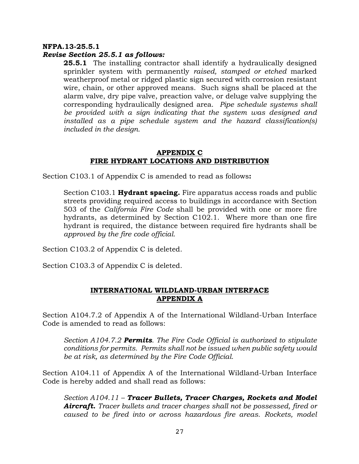#### **NFPA.13-25.5.1**

#### *Revise Section 25.5.1 as follows:*

**25.5.1** The installing contractor shall identify a hydraulically designed sprinkler system with permanently *raised, stamped or etched* marked weatherproof metal or ridged plastic sign secured with corrosion resistant wire, chain, or other approved means. Such signs shall be placed at the alarm valve, dry pipe valve, preaction valve, or deluge valve supplying the corresponding hydraulically designed area. *Pipe schedule systems shall be provided with a sign indicating that the system was designed and installed as a pipe schedule system and the hazard classification(s) included in the design.*

#### **APPENDIX C FIRE HYDRANT LOCATIONS AND DISTRIBUTION**

Section C103.1 of Appendix C is amended to read as follows**:**

Section C103.1 **Hydrant spacing.** Fire apparatus access roads and public streets providing required access to buildings in accordance with Section 503 of the *California Fire Code* shall be provided with one or more fire hydrants, as determined by Section C102.1. Where more than one fire hydrant is required, the distance between required fire hydrants shall be *approved by the fire code official.*

Section C103.2 of Appendix C is deleted.

Section C103.3 of Appendix C is deleted.

#### **INTERNATIONAL WILDLAND-URBAN INTERFACE APPENDIX A**

Section A104.7.2 of Appendix A of the International Wildland-Urban Interface Code is amended to read as follows:

*Section A104.7.2 Permits. The Fire Code Official is authorized to stipulate conditions for permits. Permits shall not be issued when public safety would be at risk, as determined by the Fire Code Official.*

Section A104.11 of Appendix A of the International Wildland-Urban Interface Code is hereby added and shall read as follows:

*Section A104.11 – Tracer Bullets, Tracer Charges, Rockets and Model Aircraft. Tracer bullets and tracer charges shall not be possessed, fired or caused to be fired into or across hazardous fire areas. Rockets, model*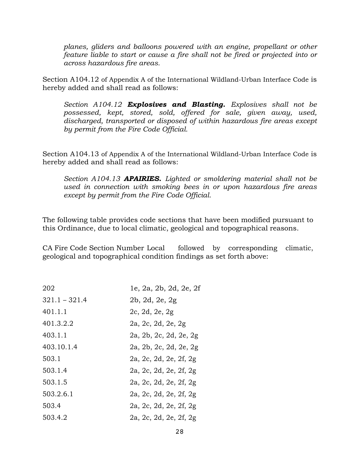*planes, gliders and balloons powered with an engine, propellant or other feature liable to start or cause a fire shall not be fired or projected into or across hazardous fire areas.*

Section A104.12 of Appendix A of the International Wildland-Urban Interface Code is hereby added and shall read as follows:

*Section A104.12 Explosives and Blasting. Explosives shall not be possessed, kept, stored, sold, offered for sale, given away, used, discharged, transported or disposed of within hazardous fire areas except by permit from the Fire Code Official.*

Section A104.13 of Appendix A of the International Wildland-Urban Interface Code is hereby added and shall read as follows:

*Section A104.13 APAIRIES. Lighted or smoldering material shall not be used in connection with smoking bees in or upon hazardous fire areas except by permit from the Fire Code Official.*

The following table provides code sections that have been modified pursuant to this Ordinance, due to local climatic, geological and topographical reasons.

CA Fire Code Section Number Local followed by corresponding climatic, geological and topographical condition findings as set forth above:

| 202             | 1e, 2a, 2b, 2d, 2e, 2f |
|-----------------|------------------------|
| $321.1 - 321.4$ | 2b, 2d, 2e, 2g         |
| 401.1.1         | 2c, 2d, 2e, 2g         |
| 401.3.2.2       | 2a, 2c, 2d, 2e, 2g     |
| 403.1.1         | 2a, 2b, 2c, 2d, 2e, 2g |
| 403.10.1.4      | 2a, 2b, 2c, 2d, 2e, 2g |
| 503.1           | 2a, 2c, 2d, 2e, 2f, 2g |
| 503.1.4         | 2a, 2c, 2d, 2e, 2f, 2g |
| 503.1.5         | 2a, 2c, 2d, 2e, 2f, 2g |
| 503.2.6.1       | 2a, 2c, 2d, 2e, 2f, 2g |
| 503.4           | 2a, 2c, 2d, 2e, 2f, 2g |
| 503.4.2         | 2a, 2c, 2d, 2e, 2f, 2g |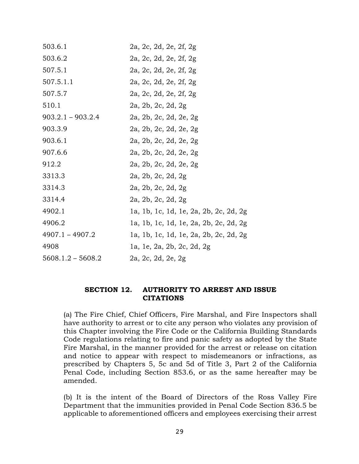| 503.6.1             | 2a, 2c, 2d, 2e, 2f, 2g                 |
|---------------------|----------------------------------------|
| 503.6.2             | 2a, 2c, 2d, 2e, 2f, 2g                 |
| 507.5.1             | 2a, 2c, 2d, 2e, 2f, 2g                 |
| 507.5.1.1           | 2a, 2c, 2d, 2e, 2f, 2g                 |
| 507.5.7             | 2a, 2c, 2d, 2e, 2f, 2g                 |
| 510.1               | 2a, 2b, 2c, 2d, 2g                     |
| $903.2.1 - 903.2.4$ | 2a, 2b, 2c, 2d, 2e, 2g                 |
| 903.3.9             | 2a, 2b, 2c, 2d, 2e, 2g                 |
| 903.6.1             | 2a, 2b, 2c, 2d, 2e, 2g                 |
| 907.6.6             | 2a, 2b, 2c, 2d, 2e, 2g                 |
| 912.2               | 2a, 2b, 2c, 2d, 2e, 2g                 |
| 3313.3              | 2a, 2b, 2c, 2d, 2g                     |
| 3314.3              | 2a, 2b, 2c, 2d, 2g                     |
| 3314.4              | 2a, 2b, 2c, 2d, 2g                     |
| 4902.1              | 1a, 1b, 1c, 1d, 1e, 2a, 2b, 2c, 2d, 2g |
| 4906.2              | la, 1b, 1c, 1d, 1e, 2a, 2b, 2c, 2d, 2g |
| $4907.1 - 4907.2$   | 1a, 1b, 1c, 1d, 1e, 2a, 2b, 2c, 2d, 2g |
| 4908                | 1a, 1e, 2a, 2b, 2c, 2d, 2g             |
| $5608.1.2 - 5608.2$ | 2a, 2c, 2d, 2e, 2g                     |

#### **SECTION 12. AUTHORITY TO ARREST AND ISSUE CITATIONS**

(a) The Fire Chief, Chief Officers, Fire Marshal, and Fire Inspectors shall have authority to arrest or to cite any person who violates any provision of this Chapter involving the Fire Code or the California Building Standards Code regulations relating to fire and panic safety as adopted by the State Fire Marshal, in the manner provided for the arrest or release on citation and notice to appear with respect to misdemeanors or infractions, as prescribed by Chapters 5, 5c and 5d of Title 3, Part 2 of the California Penal Code, including Section 853.6, or as the same hereafter may be amended.

(b) It is the intent of the Board of Directors of the Ross Valley Fire Department that the immunities provided in Penal Code Section 836.5 be applicable to aforementioned officers and employees exercising their arrest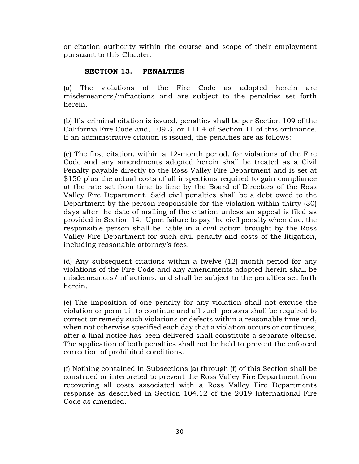or citation authority within the course and scope of their employment pursuant to this Chapter.

# **SECTION 13. PENALTIES**

(a) The violations of the Fire Code as adopted herein are misdemeanors/infractions and are subject to the penalties set forth herein.

(b) If a criminal citation is issued, penalties shall be per Section 109 of the California Fire Code and, 109.3, or 111.4 of Section 11 of this ordinance. If an administrative citation is issued, the penalties are as follows:

(c) The first citation, within a 12-month period, for violations of the Fire Code and any amendments adopted herein shall be treated as a Civil Penalty payable directly to the Ross Valley Fire Department and is set at \$150 plus the actual costs of all inspections required to gain compliance at the rate set from time to time by the Board of Directors of the Ross Valley Fire Department. Said civil penalties shall be a debt owed to the Department by the person responsible for the violation within thirty (30) days after the date of mailing of the citation unless an appeal is filed as provided in Section 14. Upon failure to pay the civil penalty when due, the responsible person shall be liable in a civil action brought by the Ross Valley Fire Department for such civil penalty and costs of the litigation, including reasonable attorney's fees.

(d) Any subsequent citations within a twelve (12) month period for any violations of the Fire Code and any amendments adopted herein shall be misdemeanors/infractions, and shall be subject to the penalties set forth herein.

(e) The imposition of one penalty for any violation shall not excuse the violation or permit it to continue and all such persons shall be required to correct or remedy such violations or defects within a reasonable time and, when not otherwise specified each day that a violation occurs or continues, after a final notice has been delivered shall constitute a separate offense. The application of both penalties shall not be held to prevent the enforced correction of prohibited conditions.

(f) Nothing contained in Subsections (a) through (f) of this Section shall be construed or interpreted to prevent the Ross Valley Fire Department from recovering all costs associated with a Ross Valley Fire Departments response as described in Section 104.12 of the 2019 International Fire Code as amended.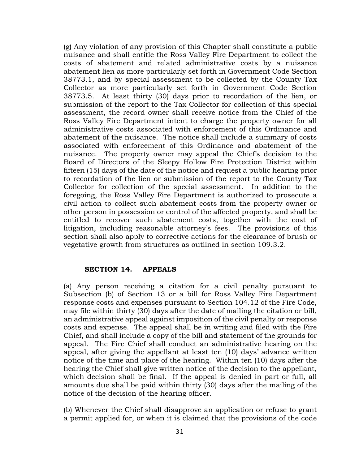(g) Any violation of any provision of this Chapter shall constitute a public nuisance and shall entitle the Ross Valley Fire Department to collect the costs of abatement and related administrative costs by a nuisance abatement lien as more particularly set forth in Government Code Section 38773.1, and by special assessment to be collected by the County Tax Collector as more particularly set forth in Government Code Section 38773.5. At least thirty (30) days prior to recordation of the lien, or submission of the report to the Tax Collector for collection of this special assessment, the record owner shall receive notice from the Chief of the Ross Valley Fire Department intent to charge the property owner for all administrative costs associated with enforcement of this Ordinance and abatement of the nuisance. The notice shall include a summary of costs associated with enforcement of this Ordinance and abatement of the nuisance. The property owner may appeal the Chief's decision to the Board of Directors of the Sleepy Hollow Fire Protection District within fifteen (15) days of the date of the notice and request a public hearing prior to recordation of the lien or submission of the report to the County Tax Collector for collection of the special assessment. In addition to the foregoing, the Ross Valley Fire Department is authorized to prosecute a civil action to collect such abatement costs from the property owner or other person in possession or control of the affected property, and shall be entitled to recover such abatement costs, together with the cost of litigation, including reasonable attorney's fees. The provisions of this section shall also apply to corrective actions for the clearance of brush or vegetative growth from structures as outlined in section 109.3.2.

#### **SECTION 14. APPEALS**

(a) Any person receiving a citation for a civil penalty pursuant to Subsection (b) of Section 13 or a bill for Ross Valley Fire Department response costs and expenses pursuant to Section 104.12 of the Fire Code, may file within thirty (30) days after the date of mailing the citation or bill, an administrative appeal against imposition of the civil penalty or response costs and expense. The appeal shall be in writing and filed with the Fire Chief, and shall include a copy of the bill and statement of the grounds for appeal. The Fire Chief shall conduct an administrative hearing on the appeal, after giving the appellant at least ten (10) days' advance written notice of the time and place of the hearing. Within ten (10) days after the hearing the Chief shall give written notice of the decision to the appellant, which decision shall be final. If the appeal is denied in part or full, all amounts due shall be paid within thirty (30) days after the mailing of the notice of the decision of the hearing officer.

(b) Whenever the Chief shall disapprove an application or refuse to grant a permit applied for, or when it is claimed that the provisions of the code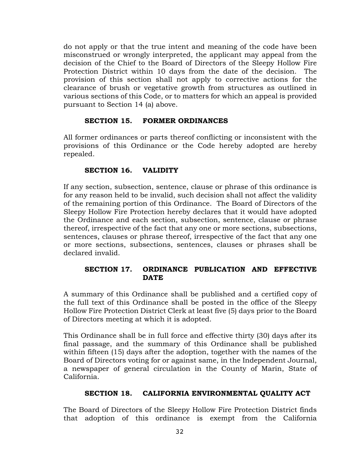do not apply or that the true intent and meaning of the code have been misconstrued or wrongly interpreted, the applicant may appeal from the decision of the Chief to the Board of Directors of the Sleepy Hollow Fire Protection District within 10 days from the date of the decision. The provision of this section shall not apply to corrective actions for the clearance of brush or vegetative growth from structures as outlined in various sections of this Code, or to matters for which an appeal is provided pursuant to Section 14 (a) above.

## **SECTION 15. FORMER ORDINANCES**

All former ordinances or parts thereof conflicting or inconsistent with the provisions of this Ordinance or the Code hereby adopted are hereby repealed.

## **SECTION 16. VALIDITY**

If any section, subsection, sentence, clause or phrase of this ordinance is for any reason held to be invalid, such decision shall not affect the validity of the remaining portion of this Ordinance. The Board of Directors of the Sleepy Hollow Fire Protection hereby declares that it would have adopted the Ordinance and each section, subsection, sentence, clause or phrase thereof, irrespective of the fact that any one or more sections, subsections, sentences, clauses or phrase thereof, irrespective of the fact that any one or more sections, subsections, sentences, clauses or phrases shall be declared invalid.

# **SECTION 17. ORDINANCE PUBLICATION AND EFFECTIVE DATE**

A summary of this Ordinance shall be published and a certified copy of the full text of this Ordinance shall be posted in the office of the Sleepy Hollow Fire Protection District Clerk at least five (5) days prior to the Board of Directors meeting at which it is adopted.

This Ordinance shall be in full force and effective thirty (30) days after its final passage, and the summary of this Ordinance shall be published within fifteen (15) days after the adoption, together with the names of the Board of Directors voting for or against same, in the Independent Journal, a newspaper of general circulation in the County of Marin, State of California.

## **SECTION 18. CALIFORNIA ENVIRONMENTAL QUALITY ACT**

The Board of Directors of the Sleepy Hollow Fire Protection District finds that adoption of this ordinance is exempt from the California